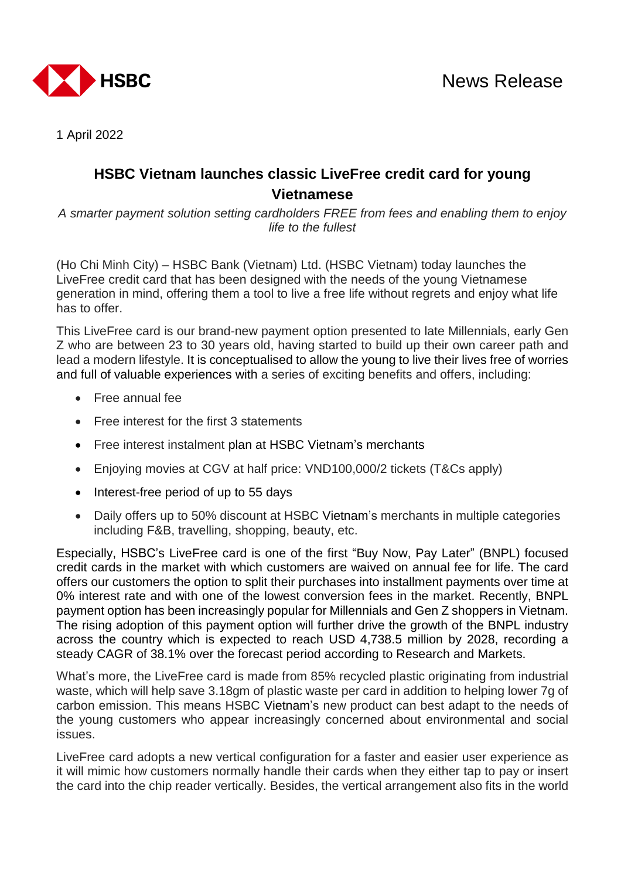

1 April 2022

## **HSBC Vietnam launches classic LiveFree credit card for young Vietnamese**

*A smarter payment solution setting cardholders FREE from fees and enabling them to enjoy life to the fullest*

(Ho Chi Minh City) – HSBC Bank (Vietnam) Ltd. (HSBC Vietnam) today launches the LiveFree credit card that has been designed with the needs of the young Vietnamese generation in mind, offering them a tool to live a free life without regrets and enjoy what life has to offer.

This LiveFree card is our brand-new payment option presented to late Millennials, early Gen Z who are between 23 to 30 years old, having started to build up their own career path and lead a modern lifestyle. It is conceptualised to allow the young to live their lives free of worries and full of valuable experiences with a series of exciting benefits and offers, including:

- Free annual fee
- Free interest for the first 3 statements
- Free interest instalment plan at HSBC Vietnam's merchants
- Enjoying movies at CGV at half price: VND100,000/2 tickets (T&Cs apply)
- Interest-free period of up to 55 days
- Daily offers up to 50% discount at HSBC Vietnam's merchants in multiple categories including F&B, travelling, shopping, beauty, etc.

Especially, HSBC's LiveFree card is one of the first "Buy Now, Pay Later" (BNPL) focused credit cards in the market with which customers are waived on annual fee for life. The card offers our customers the option to split their purchases into installment payments over time at 0% interest rate and with one of the lowest conversion fees in the market. Recently, BNPL payment option has been increasingly popular for Millennials and Gen Z shoppers in Vietnam. The rising adoption of this payment option will further drive the growth of the BNPL industry across the country which is expected to reach USD 4,738.5 million by 2028, recording a steady CAGR of 38.1% over the forecast period according to Research and Markets.

What's more, the LiveFree card is made from 85% recycled plastic originating from industrial waste, which will help save 3.18gm of plastic waste per card in addition to helping lower 7g of carbon emission. This means HSBC Vietnam's new product can best adapt to the needs of the young customers who appear increasingly concerned about environmental and social issues.

LiveFree card adopts a new vertical configuration for a faster and easier user experience as it will mimic how customers normally handle their cards when they either tap to pay or insert the card into the chip reader vertically. Besides, the vertical arrangement also fits in the world